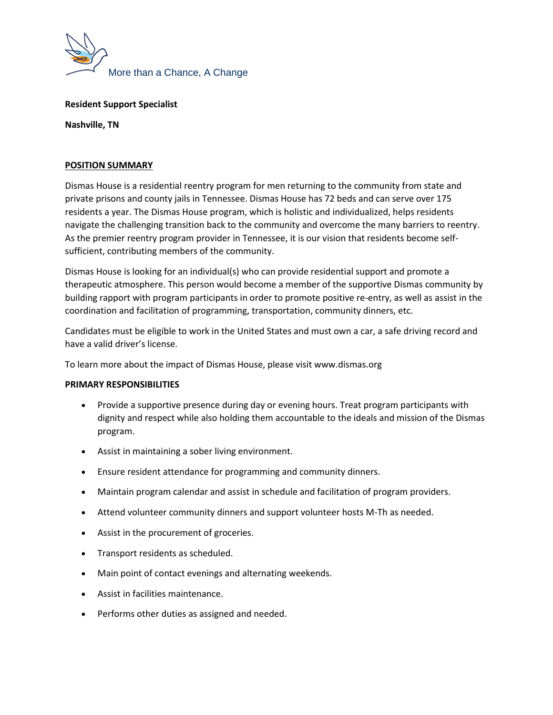

## **Resident Support Specialist**

**Nashville, TN**

## **POSITION SUMMARY**

Dismas House is a residential reentry program for men returning to the community from state and private prisons and county jails in Tennessee. Dismas House has 72 beds and can serve over 175 residents a year. The Dismas House program, which is holistic and individualized, helps residents navigate the challenging transition back to the community and overcome the many barriers to reentry. As the premier reentry program provider in Tennessee, it is our vision that residents become selfsufficient, contributing members of the community.

Dismas House is looking for an individual(s) who can provide residential support and promote a therapeutic atmosphere. This person would become a member of the supportive Dismas community by building rapport with program participants in order to promote positive re-entry, as well as assist in the coordination and facilitation of programming, transportation, community dinners, etc.

Candidates must be eligible to work in the United States and must own a car, a safe driving record and have a valid driver's license.

To learn more about the impact of Dismas House, please visit www.dismas.org

## **PRIMARY RESPONSIBILITIES**

- Provide a supportive presence during day or evening hours. Treat program participants with dignity and respect while also holding them accountable to the ideals and mission of the Dismas program.
- Assist in maintaining a sober living environment.
- Ensure resident attendance for programming and community dinners.
- Maintain program calendar and assist in schedule and facilitation of program providers.
- Attend volunteer community dinners and support volunteer hosts M-Th as needed.
- Assist in the procurement of groceries.
- Transport residents as scheduled.
- Main point of contact evenings and alternating weekends.
- Assist in facilities maintenance.
- Performs other duties as assigned and needed.